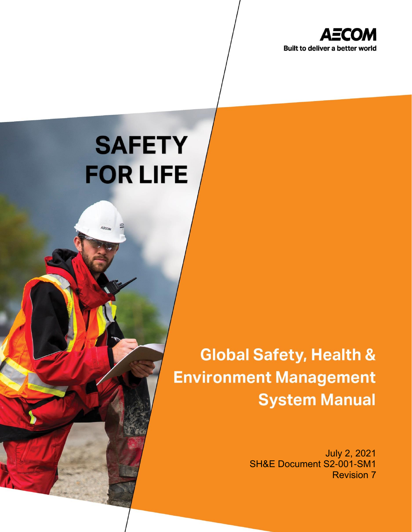

# **SAFETY FOR LIFE**

 $A\bar{z}cn$ 

© AECOM Restricted

Safety, Health & Environment Management Management System Management System Management System Management System

PRINTED COPIES ARE UNCONTROLLED. CONTROLLED COPY IS AVAILABLE ON COMPANY INTRANET.

# **Global Safety, Health & Environment Management System Manual**

July 2, 2021 SH&E Document S2-001-SM1 Revision 7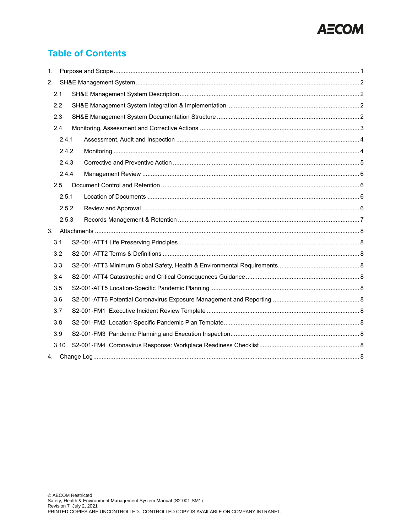

## **Table of Contents**

| 1.    |       |       |  |  |  |  |
|-------|-------|-------|--|--|--|--|
| 2.    |       |       |  |  |  |  |
|       | 2.1   |       |  |  |  |  |
| 2.2   |       |       |  |  |  |  |
|       | 2.3   |       |  |  |  |  |
|       | 2.4   |       |  |  |  |  |
|       |       | 2.4.1 |  |  |  |  |
|       | 2.4.2 |       |  |  |  |  |
|       | 2.4.3 |       |  |  |  |  |
|       | 2.4.4 |       |  |  |  |  |
|       | 2.5   |       |  |  |  |  |
|       | 2.5.1 |       |  |  |  |  |
| 2.5.2 |       |       |  |  |  |  |
|       |       | 2.5.3 |  |  |  |  |
| 3.    |       |       |  |  |  |  |
|       | 3.1   |       |  |  |  |  |
|       | 3.2   |       |  |  |  |  |
|       | 3.3   |       |  |  |  |  |
|       | 3.4   |       |  |  |  |  |
| 3.5   |       |       |  |  |  |  |
| 3.6   |       |       |  |  |  |  |
|       | 3.7   |       |  |  |  |  |
|       | 3.8   |       |  |  |  |  |
|       | 3.9   |       |  |  |  |  |
|       | 3.10  |       |  |  |  |  |
| 4.    |       |       |  |  |  |  |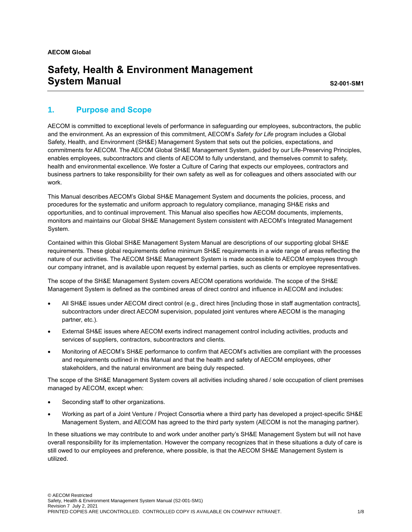## **Safety, Health & Environment Management System Manual** System Annual System Annual S2-001-SM1

#### <span id="page-2-0"></span>**1. Purpose and Scope**

AECOM is committed to exceptional levels of performance in safeguarding our employees, subcontractors, the public and the environment. As an expression of this commitment, AECOM's *Safety for Life* program includes a Global Safety, Health, and Environment (SH&E) Management System that sets out the policies, expectations, and commitments for AECOM. The AECOM Global SH&E Management System, guided by our Life-Preserving Principles, enables employees, subcontractors and clients of AECOM to fully understand, and themselves commit to safety, health and environmental excellence. We foster a Culture of Caring that expects our employees, contractors and business partners to take responsibility for their own safety as well as for colleagues and others associated with our work.

This Manual describes AECOM's Global SH&E Management System and documents the policies, process, and procedures for the systematic and uniform approach to regulatory compliance, managing SH&E risks and opportunities, and to continual improvement. This Manual also specifies how AECOM documents, implements, monitors and maintains our Global SH&E Management System consistent with AECOM's Integrated Management System.

Contained within this Global SH&E Management System Manual are descriptions of our supporting global SH&E requirements. These global requirements define minimum SH&E requirements in a wide range of areas reflecting the nature of our activities. The AECOM SH&E Management System is made accessible to AECOM employees through our company intranet, and is available upon request by external parties, such as clients or employee representatives.

The scope of the SH&E Management System covers AECOM operations worldwide. The scope of the SH&E Management System is defined as the combined areas of direct control and influence in AECOM and includes:

- All SH&E issues under AECOM direct control (e.g., direct hires [including those in staff augmentation contracts], subcontractors under direct AECOM supervision, populated joint ventures where AECOM is the managing partner, etc.).
- External SH&E issues where AECOM exerts indirect management control including activities, products and services of suppliers, contractors, subcontractors and clients.
- Monitoring of AECOM's SH&E performance to confirm that AECOM's activities are compliant with the processes and requirements outlined in this Manual and that the health and safety of AECOM employees, other stakeholders, and the natural environment are being duly respected.

The scope of the SH&E Management System covers all activities including shared / sole occupation of client premises managed by AECOM, except when:

- Seconding staff to other organizations.
- Working as part of a Joint Venture / Project Consortia where a third party has developed a project-specific SH&E Management System, and AECOM has agreed to the third party system (AECOM is not the managing partner).

In these situations we may contribute to and work under another party's SH&E Management System but will not have overall responsibility for its implementation. However the company recognizes that in these situations a duty of care is still owed to our employees and preference, where possible, is that the AECOM SH&E Management System is utilized.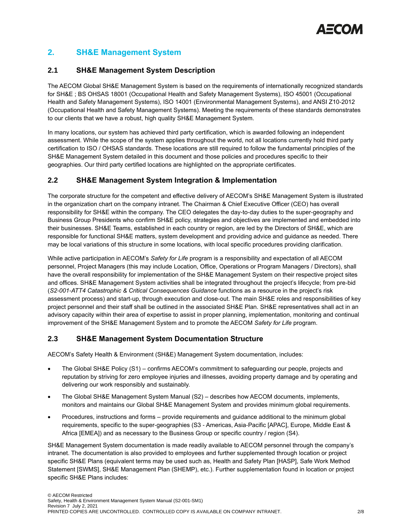

#### <span id="page-3-0"></span>**2. SH&E Management System**

#### <span id="page-3-1"></span>**2.1 SH&E Management System Description**

The AECOM Global SH&E Management System is based on the requirements of internationally recognized standards for SH&E ; BS OHSAS 18001 (Occupational Health and Safety Management Systems), ISO 45001 (Occupational Health and Safety Management Systems), ISO 14001 (Environmental Management Systems), and ANSI Z10-2012 (Occupational Health and Safety Management Systems). Meeting the requirements of these standards demonstrates to our clients that we have a robust, high quality SH&E Management System.

In many locations, our system has achieved third party certification, which is awarded following an independent assessment. While the scope of the system applies throughout the world, not all locations currently hold third party certification to ISO / OHSAS standards. These locations are still required to follow the fundamental principles of the SH&E Management System detailed in this document and those policies and procedures specific to their geographies. Our third party certified locations are highlighted on the appropriate certificates.

#### <span id="page-3-2"></span>**2.2 SH&E Management System Integration & Implementation**

The corporate structure for the competent and effective delivery of AECOM's SH&E Management System is illustrated in the organization chart on the company intranet. The Chairman & Chief Executive Officer (CEO) has overall responsibility for SH&E within the company. The CEO delegates the day-to-day duties to the super-geography and Business Group Presidents who confirm SH&E policy, strategies and objectives are implemented and embedded into their businesses. SH&E Teams, established in each country or region, are led by the Directors of SH&E, which are responsible for functional SH&E matters, system development and providing advice and guidance as needed. There may be local variations of this structure in some locations, with local specific procedures providing clarification.

While active participation in AECOM's *Safety for Life* program is a responsibility and expectation of all AECOM personnel, Project Managers (this may include Location, Office, Operations or Program Managers / Directors), shall have the overall responsibility for implementation of the SH&E Management System on their respective project sites and offices. SH&E Management System activities shall be integrated throughout the project's lifecycle; from pre-bid (*S2-001-ATT4 Catastrophic & Critical Consequences Guidance* functions as a resource in the project's risk assessment process) and start-up, through execution and close-out. The main SH&E roles and responsibilities of key project personnel and their staff shall be outlined in the associated SH&E Plan. SH&E representatives shall act in an advisory capacity within their area of expertise to assist in proper planning, implementation, monitoring and continual improvement of the SH&E Management System and to promote the AECOM *Safety for Life* program.

#### <span id="page-3-3"></span>**2.3 SH&E Management System Documentation Structure**

AECOM's Safety Health & Environment (SH&E) Management System documentation, includes:

- The Global SH&E Policy (S1) confirms AECOM's commitment to safeguarding our people, projects and reputation by striving for zero employee injuries and illnesses, avoiding property damage and by operating and delivering our work responsibly and sustainably.
- The Global SH&E Management System Manual (S2) describes how AECOM documents, implements, monitors and maintains our Global SH&E Management System and provides minimum global requirements.
- Procedures, instructions and forms provide requirements and guidance additional to the minimum global requirements, specific to the super-geographies (S3 - Americas, Asia-Pacific [APAC], Europe, Middle East & Africa [EMEA]) and as necessary to the Business Group or specific country / region (S4).

SH&E Management System documentation is made readily available to AECOM personnel through the company's intranet. The documentation is also provided to employees and further supplemented through location or project specific SH&E Plans (equivalent terms may be used such as, Health and Safety Plan [HASP], Safe Work Method Statement [SWMS], SH&E Management Plan (SHEMP), etc.). Further supplementation found in location or project specific SH&E Plans includes: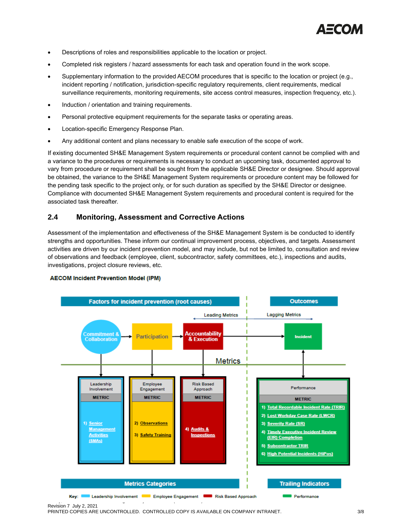

- Descriptions of roles and responsibilities applicable to the location or project.
- Completed risk registers / hazard assessments for each task and operation found in the work scope.
- Supplementary information to the provided AECOM procedures that is specific to the location or project (e.g., incident reporting / notification, jurisdiction-specific regulatory requirements, client requirements, medical surveillance requirements, monitoring requirements, site access control measures, inspection frequency, etc.).
- Induction / orientation and training requirements.
- Personal protective equipment requirements for the separate tasks or operating areas.
- Location-specific Emergency Response Plan.
- Any additional content and plans necessary to enable safe execution of the scope of work.

If existing documented SH&E Management System requirements or procedural content cannot be complied with and a variance to the procedures or requirements is necessary to conduct an upcoming task, documented approval to vary from procedure or requirement shall be sought from the applicable SH&E Director or designee. Should approval be obtained, the variance to the SH&E Management System requirements or procedure content may be followed for the pending task specific to the project only, or for such duration as specified by the SH&E Director or designee. Compliance with documented SH&E Management System requirements and procedural content is required for the associated task thereafter.

#### <span id="page-4-0"></span>**2.4 Monitoring, Assessment and Corrective Actions**

Assessment of the implementation and effectiveness of the SH&E Management System is be conducted to identify strengths and opportunities. These inform our continual improvement process, objectives, and targets. Assessment activities are driven by our incident prevention model, and may include, but not be limited to, consultation and review of observations and feedback (employee, client, subcontractor, safety committees, etc.), inspections and audits, investigations, project closure reviews, etc.



#### **AECOM Incident Prevention Model (IPM)**

PRINTED COPIES ARE UNCONTROLLED. CONTROLLED COPY IS AVAILABLE ON COMPANY INTRANET. 3/8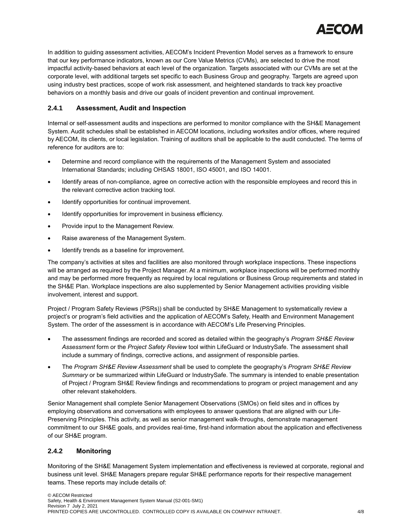

In addition to guiding assessment activities, AECOM's Incident Prevention Model serves as a framework to ensure that our key performance indicators, known as our Core Value Metrics (CVMs), are selected to drive the most impactful activity-based behaviors at each level of the organization. Targets associated with our CVMs are set at the corporate level, with additional targets set specific to each Business Group and geography. Targets are agreed upon using industry best practices, scope of work risk assessment, and heightened standards to track key proactive behaviors on a monthly basis and drive our goals of incident prevention and continual improvement.

#### <span id="page-5-0"></span>**2.4.1 Assessment, Audit and Inspection**

Internal or self-assessment audits and inspections are performed to monitor compliance with the SH&E Management System. Audit schedules shall be established in AECOM locations, including worksites and/or offices, where required by AECOM, its clients, or local legislation. Training of auditors shall be applicable to the audit conducted. The terms of reference for auditors are to:

- Determine and record compliance with the requirements of the Management System and associated International Standards; including OHSAS 18001, ISO 45001, and ISO 14001.
- Identify areas of non-compliance, agree on corrective action with the responsible employees and record this in the relevant corrective action tracking tool.
- Identify opportunities for continual improvement.
- Identify opportunities for improvement in business efficiency.
- Provide input to the Management Review.
- Raise awareness of the Management System.
- Identify trends as a baseline for improvement.

The company's activities at sites and facilities are also monitored through workplace inspections. These inspections will be arranged as required by the Project Manager. At a minimum, workplace inspections will be performed monthly and may be performed more frequently as required by local regulations or Business Group requirements and stated in the SH&E Plan. Workplace inspections are also supplemented by Senior Management activities providing visible involvement, interest and support.

Project / Program Safety Reviews (PSRs)) shall be conducted by SH&E Management to systematically review a project's or program's field activities and the application of AECOM's Safety, Health and Environment Management System. The order of the assessment is in accordance with AECOM's Life Preserving Principles.

- The assessment findings are recorded and scored as detailed within the geography's *Program SH&E Review Assessment* form or the *Project Safety Review* tool within LifeGuard or IndustrySafe. The assessment shall include a summary of findings, corrective actions, and assignment of responsible parties.
- The *Program SH&E Review Assessment* shall be used to complete the geography's *Program SH&E Review Summary* or be summarized within LifeGuard or IndustrySafe. The summary is intended to enable presentation of Project / Program SH&E Review findings and recommendations to program or project management and any other relevant stakeholders.

Senior Management shall complete Senior Management Observations (SMOs) on field sites and in offices by employing observations and conversations with employees to answer questions that are aligned with our Life-Preserving Principles. This activity, as well as senior management walk-throughs, demonstrate management commitment to our SH&E goals, and provides real-time, first-hand information about the application and effectiveness of our SH&E program.

#### <span id="page-5-1"></span>**2.4.2 Monitoring**

Monitoring of the SH&E Management System implementation and effectiveness is reviewed at corporate, regional and business unit level. SH&E Managers prepare regular SH&E performance reports for their respective management teams. These reports may include details of: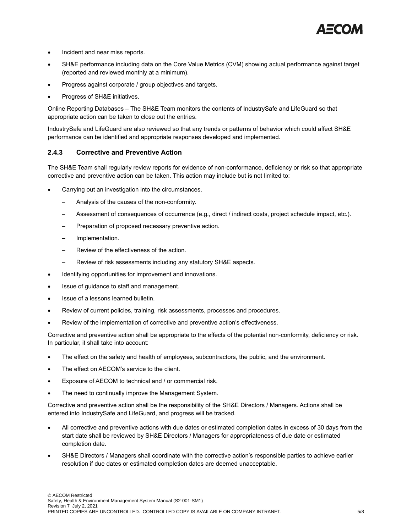

- Incident and near miss reports.
- SH&E performance including data on the Core Value Metrics (CVM) showing actual performance against target (reported and reviewed monthly at a minimum).
- Progress against corporate / group objectives and targets.
- Progress of SH&E initiatives.

Online Reporting Databases – The SH&E Team monitors the contents of IndustrySafe and LifeGuard so that appropriate action can be taken to close out the entries.

IndustrySafe and LifeGuard are also reviewed so that any trends or patterns of behavior which could affect SH&E performance can be identified and appropriate responses developed and implemented.

#### <span id="page-6-0"></span>**2.4.3 Corrective and Preventive Action**

The SH&E Team shall regularly review reports for evidence of non-conformance, deficiency or risk so that appropriate corrective and preventive action can be taken. This action may include but is not limited to:

- Carrying out an investigation into the circumstances.
	- Analysis of the causes of the non-conformity.
	- Assessment of consequences of occurrence (e.g., direct / indirect costs, project schedule impact, etc.).
	- ─ Preparation of proposed necessary preventive action.
	- ─ Implementation.
	- Review of the effectiveness of the action.
	- Review of risk assessments including any statutory SH&E aspects.
- Identifying opportunities for improvement and innovations.
- Issue of guidance to staff and management.
- Issue of a lessons learned bulletin.
- Review of current policies, training, risk assessments, processes and procedures.
- Review of the implementation of corrective and preventive action's effectiveness.

Corrective and preventive action shall be appropriate to the effects of the potential non-conformity, deficiency or risk. In particular, it shall take into account:

- The effect on the safety and health of employees, subcontractors, the public, and the environment.
- The effect on AECOM's service to the client.
- Exposure of AECOM to technical and / or commercial risk.
- The need to continually improve the Management System.

Corrective and preventive action shall be the responsibility of the SH&E Directors / Managers. Actions shall be entered into IndustrySafe and LifeGuard, and progress will be tracked.

- All corrective and preventive actions with due dates or estimated completion dates in excess of 30 days from the start date shall be reviewed by SH&E Directors / Managers for appropriateness of due date or estimated completion date.
- SH&E Directors / Managers shall coordinate with the corrective action's responsible parties to achieve earlier resolution if due dates or estimated completion dates are deemed unacceptable.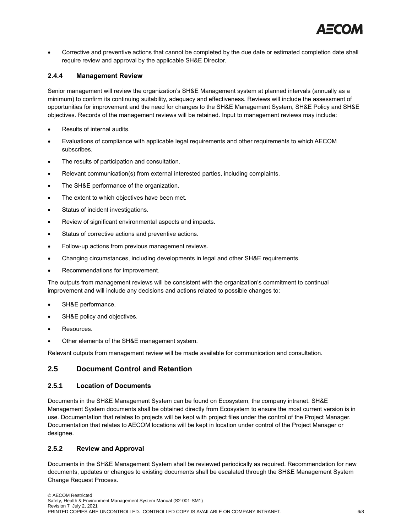

• Corrective and preventive actions that cannot be completed by the due date or estimated completion date shall require review and approval by the applicable SH&E Director.

#### <span id="page-7-0"></span>**2.4.4 Management Review**

Senior management will review the organization's SH&E Management system at planned intervals (annually as a minimum) to confirm its continuing suitability, adequacy and effectiveness. Reviews will include the assessment of opportunities for improvement and the need for changes to the SH&E Management System, SH&E Policy and SH&E objectives. Records of the management reviews will be retained. Input to management reviews may include:

- Results of internal audits.
- Evaluations of compliance with applicable legal requirements and other requirements to which AECOM subscribes.
- The results of participation and consultation.
- Relevant communication(s) from external interested parties, including complaints.
- The SH&E performance of the organization.
- The extent to which objectives have been met.
- Status of incident investigations.
- Review of significant environmental aspects and impacts.
- Status of corrective actions and preventive actions.
- Follow-up actions from previous management reviews.
- Changing circumstances, including developments in legal and other SH&E requirements.
- Recommendations for improvement.

The outputs from management reviews will be consistent with the organization's commitment to continual improvement and will include any decisions and actions related to possible changes to:

- SH&E performance.
- SH&E policy and objectives.
- Resources.
- Other elements of the SH&E management system.

Relevant outputs from management review will be made available for communication and consultation.

#### <span id="page-7-1"></span>**2.5 Document Control and Retention**

#### <span id="page-7-2"></span>**2.5.1 Location of Documents**

Documents in the SH&E Management System can be found on Ecosystem, the company intranet. SH&E Management System documents shall be obtained directly from Ecosystem to ensure the most current version is in use. Documentation that relates to projects will be kept with project files under the control of the Project Manager. Documentation that relates to AECOM locations will be kept in location under control of the Project Manager or designee.

#### <span id="page-7-3"></span>**2.5.2 Review and Approval**

Documents in the SH&E Management System shall be reviewed periodically as required. Recommendation for new documents, updates or changes to existing documents shall be escalated through the SH&E Management System Change Request Process.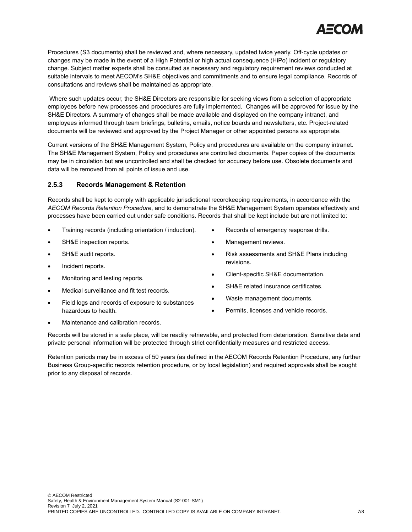

Procedures (S3 documents) shall be reviewed and, where necessary, updated twice yearly. Off-cycle updates or changes may be made in the event of a High Potential or high actual consequence (HiPo) incident or regulatory change. Subject matter experts shall be consulted as necessary and regulatory requirement reviews conducted at suitable intervals to meet AECOM's SH&E objectives and commitments and to ensure legal compliance. Records of consultations and reviews shall be maintained as appropriate.

Where such updates occur, the SH&E Directors are responsible for seeking views from a selection of appropriate employees before new processes and procedures are fully implemented. Changes will be approved for issue by the SH&E Directors. A summary of changes shall be made available and displayed on the company intranet, and employees informed through team briefings, bulletins, emails, notice boards and newsletters, etc. Project-related documents will be reviewed and approved by the Project Manager or other appointed persons as appropriate.

Current versions of the SH&E Management System, Policy and procedures are available on the company intranet. The SH&E Management System, Policy and procedures are controlled documents. Paper copies of the documents may be in circulation but are uncontrolled and shall be checked for accuracy before use. Obsolete documents and data will be removed from all points of issue and use.

#### <span id="page-8-0"></span>**2.5.3 Records Management & Retention**

Records shall be kept to comply with applicable jurisdictional recordkeeping requirements, in accordance with the *AECOM Records Retention Procedure*, and to demonstrate the SH&E Management System operates effectively and processes have been carried out under safe conditions. Records that shall be kept include but are not limited to:

- Training records (including orientation / induction).
- SH&E inspection reports.
- SH&E audit reports.
- Incident reports.
- Monitoring and testing reports.
- Medical surveillance and fit test records.
- Field logs and records of exposure to substances hazardous to health.
- Records of emergency response drills.
- Management reviews.
- Risk assessments and SH&E Plans including revisions.
- Client-specific SH&E documentation.
- SH&E related insurance certificates.
- Waste management documents.
- Permits, licenses and vehicle records.
- Maintenance and calibration records.

Records will be stored in a safe place, will be readily retrievable, and protected from deterioration. Sensitive data and private personal information will be protected through strict confidentially measures and restricted access.

Retention periods may be in excess of 50 years (as defined in the AECOM Records Retention Procedure, any further Business Group-specific records retention procedure, or by local legislation) and required approvals shall be sought prior to any disposal of records.